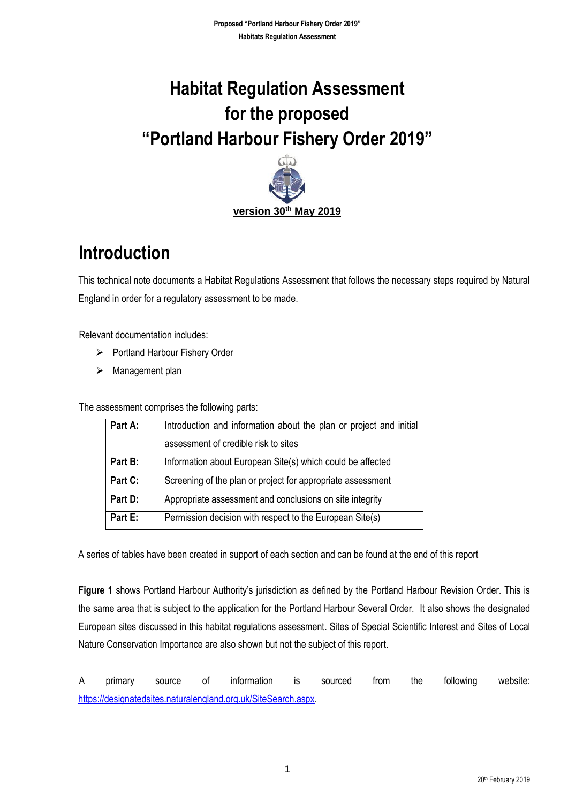# **Habitat Regulation Assessment for the proposed "Portland Harbour Fishery Order 2019"**



## **Introduction**

This technical note documents a Habitat Regulations Assessment that follows the necessary steps required by Natural England in order for a regulatory assessment to be made.

Relevant documentation includes:

- ➢ Portland Harbour Fishery Order
- ➢ Management plan

The assessment comprises the following parts:

| Part A: | Introduction and information about the plan or project and initial |
|---------|--------------------------------------------------------------------|
|         | assessment of credible risk to sites                               |
| Part B: | Information about European Site(s) which could be affected         |
| Part C: | Screening of the plan or project for appropriate assessment        |
| Part D: | Appropriate assessment and conclusions on site integrity           |
| Part E: | Permission decision with respect to the European Site(s)           |

A series of tables have been created in support of each section and can be found at the end of this report

**Figure 1** shows Portland Harbour Authority's jurisdiction as defined by the Portland Harbour Revision Order. This is the same area that is subject to the application for the Portland Harbour Several Order. It also shows the designated European sites discussed in this habitat regulations assessment. Sites of Special Scientific Interest and Sites of Local Nature Conservation Importance are also shown but not the subject of this report.

A primary source of information is sourced from the following website: [https://designatedsites.naturalengland.org.uk/SiteSearch.aspx.](https://designatedsites.naturalengland.org.uk/SiteSearch.aspx)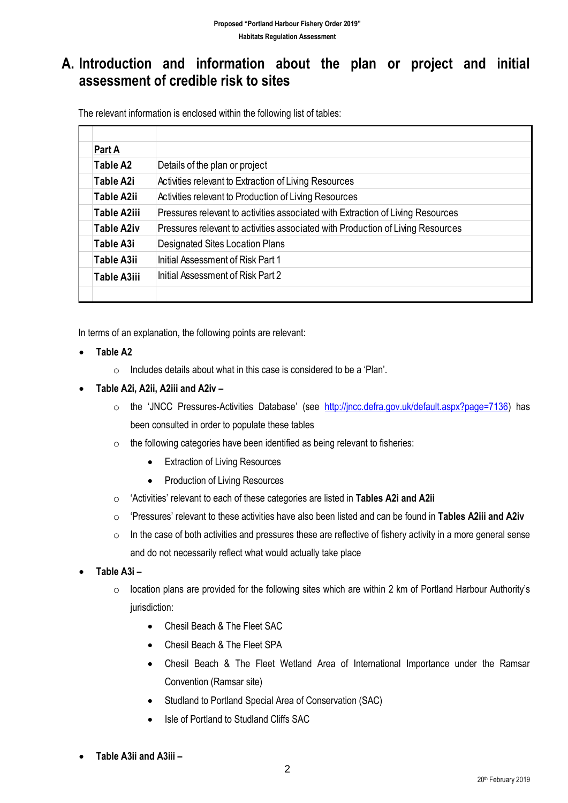#### **A. Introduction and information about the plan or project and initial assessment of credible risk to sites**

The relevant information is enclosed within the following list of tables:

| Part A             |                                                                                 |
|--------------------|---------------------------------------------------------------------------------|
| Table A2           | Details of the plan or project                                                  |
| Table A2i          | Activities relevant to Extraction of Living Resources                           |
| <b>Table A2ii</b>  | Activities relevant to Production of Living Resources                           |
| Table A2iii        | Pressures relevant to activities associated with Extraction of Living Resources |
| <b>Table A2iv</b>  | Pressures relevant to activities associated with Production of Living Resources |
| Table A3i          | <b>Designated Sites Location Plans</b>                                          |
| <b>Table A3ii</b>  | Initial Assessment of Risk Part 1                                               |
| <b>Table A3iii</b> | Initial Assessment of Risk Part 2                                               |
|                    |                                                                                 |

In terms of an explanation, the following points are relevant:

- **Table A2** 
	- $\circ$  Includes details about what in this case is considered to be a 'Plan'.
- **Table A2i, A2ii, A2iii and A2iv –**
	- o the 'JNCC Pressures-Activities Database' (see [http://jncc.defra.gov.uk/default.aspx?page=7136\)](http://jncc.defra.gov.uk/default.aspx?page=7136) has been consulted in order to populate these tables
	- $\circ$  the following categories have been identified as being relevant to fisheries:
		- Extraction of Living Resources
		- Production of Living Resources
	- o 'Activities' relevant to each of these categories are listed in **Tables A2i and A2ii**
	- o 'Pressures' relevant to these activities have also been listed and can be found in **Tables A2iii and A2iv**
	- $\circ$  In the case of both activities and pressures these are reflective of fishery activity in a more general sense and do not necessarily reflect what would actually take place
- **Table A3i –**
	- o location plans are provided for the following sites which are within 2 km of Portland Harbour Authority's iurisdiction:
		- Chesil Beach & The Fleet SAC
		- Chesil Beach & The Fleet SPA
		- Chesil Beach & The Fleet Wetland Area of International Importance under the Ramsar Convention (Ramsar site)
		- Studland to Portland Special Area of Conservation (SAC)
		- Isle of Portland to Studland Cliffs SAC
- **Table A3ii and A3iii –**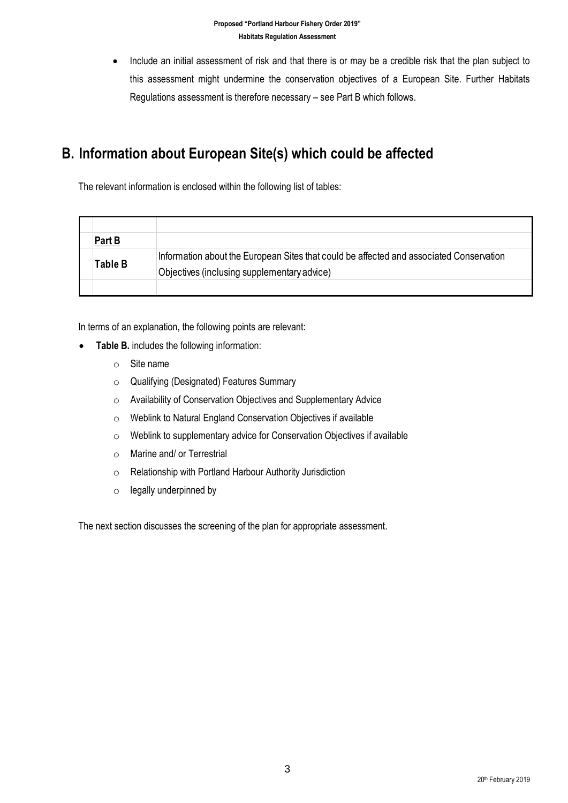• Include an initial assessment of risk and that there is or may be a credible risk that the plan subject to this assessment might undermine the conservation objectives of a European Site. Further Habitats Regulations assessment is therefore necessary – see Part B which follows.

#### **B. Information about European Site(s) which could be affected**

The relevant information is enclosed within the following list of tables:

| Part B  |                                                                                                                                        |
|---------|----------------------------------------------------------------------------------------------------------------------------------------|
| Table B | Information about the European Sites that could be affected and associated Conservation<br>Objectives (inclusing supplementary advice) |
|         |                                                                                                                                        |

In terms of an explanation, the following points are relevant:

- **Table B.** includes the following information:
	- o Site name
	- o Qualifying (Designated) Features Summary
	- o Availability of Conservation Objectives and Supplementary Advice
	- o Weblink to Natural England Conservation Objectives if available
	- o Weblink to supplementary advice for Conservation Objectives if available
	- o Marine and/ or Terrestrial
	- o Relationship with Portland Harbour Authority Jurisdiction
	- $\circ$  legally underpinned by

The next section discusses the screening of the plan for appropriate assessment.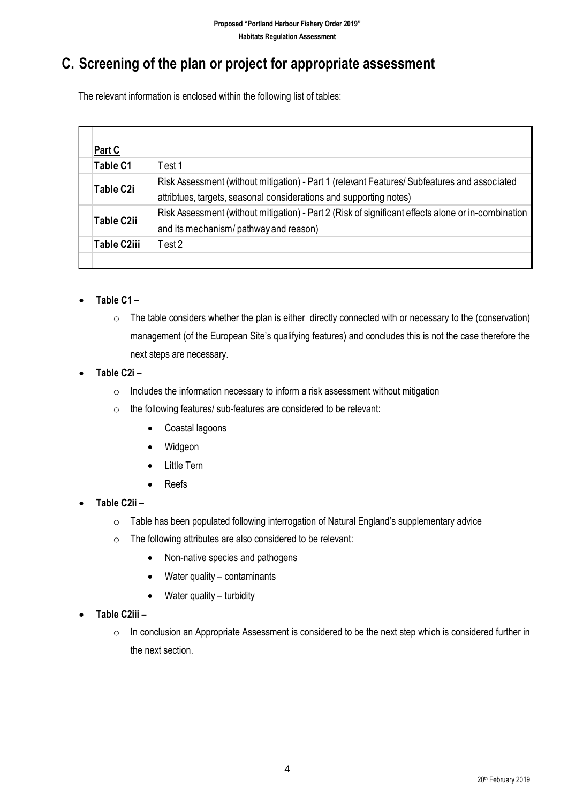### **C. Screening of the plan or project for appropriate assessment**

The relevant information is enclosed within the following list of tables:

|  | Part C             |                                                                                                    |
|--|--------------------|----------------------------------------------------------------------------------------------------|
|  | Table C1           | Test 1                                                                                             |
|  | Table C2i          | Risk Assessment (without mitigation) - Part 1 (relevant Features/ Subfeatures and associated       |
|  |                    | attribtues, targets, seasonal considerations and supporting notes)                                 |
|  | Table C2ii         | Risk Assessment (without mitigation) - Part 2 (Risk of significant effects alone or in-combination |
|  |                    | and its mechanism/ pathway and reason)                                                             |
|  | <b>Table C2iii</b> | Test 2                                                                                             |
|  |                    |                                                                                                    |

#### • **Table C1 –**

- o The table considers whether the plan is either directly connected with or necessary to the (conservation) management (of the European Site's qualifying features) and concludes this is not the case therefore the next steps are necessary.
- **Table C2i –**
	- o Includes the information necessary to inform a risk assessment without mitigation
	- $\circ$  the following features/ sub-features are considered to be relevant:
		- Coastal lagoons
		- Widgeon
		- Little Tern
		- Reefs
- **Table C2ii –**
	- $\circ$  Table has been populated following interrogation of Natural England's supplementary advice
	- o The following attributes are also considered to be relevant:
		- Non-native species and pathogens
		- Water quality contaminants
		- Water quality turbidity
- **Table C2iii –**
	- o In conclusion an Appropriate Assessment is considered to be the next step which is considered further in the next section.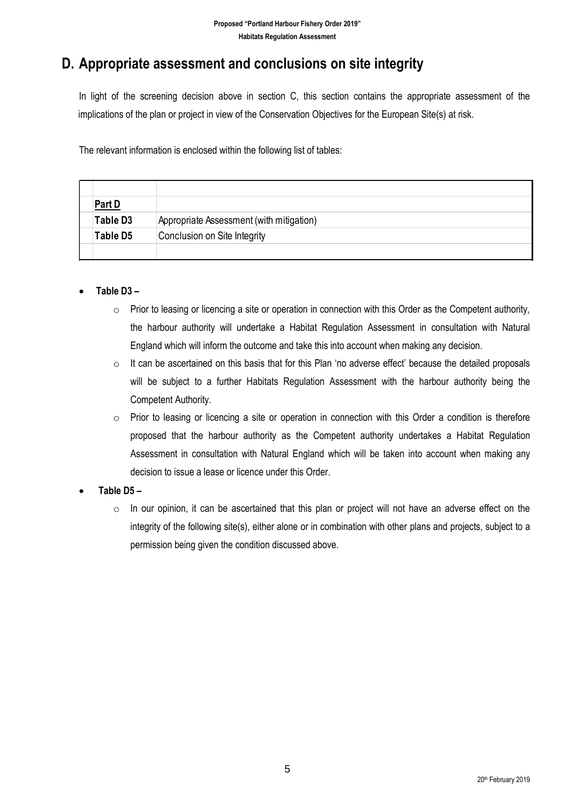### **D. Appropriate assessment and conclusions on site integrity**

In light of the screening decision above in section C, this section contains the appropriate assessment of the implications of the plan or project in view of the Conservation Objectives for the European Site(s) at risk.

The relevant information is enclosed within the following list of tables:

| <b>Part D</b> |                                          |
|---------------|------------------------------------------|
| Table D3      | Appropriate Assessment (with mitigation) |
| Table D5      | Conclusion on Site Integrity             |
|               |                                          |

#### • **Table D3 –**

- $\circ$  Prior to leasing or licencing a site or operation in connection with this Order as the Competent authority, the harbour authority will undertake a Habitat Regulation Assessment in consultation with Natural England which will inform the outcome and take this into account when making any decision.
- $\circ$  It can be ascertained on this basis that for this Plan 'no adverse effect' because the detailed proposals will be subject to a further Habitats Regulation Assessment with the harbour authority being the Competent Authority.
- $\circ$  Prior to leasing or licencing a site or operation in connection with this Order a condition is therefore proposed that the harbour authority as the Competent authority undertakes a Habitat Regulation Assessment in consultation with Natural England which will be taken into account when making any decision to issue a lease or licence under this Order.
- **Table D5 –**
	- $\circ$  In our opinion, it can be ascertained that this plan or project will not have an adverse effect on the integrity of the following site(s), either alone or in combination with other plans and projects, subject to a permission being given the condition discussed above.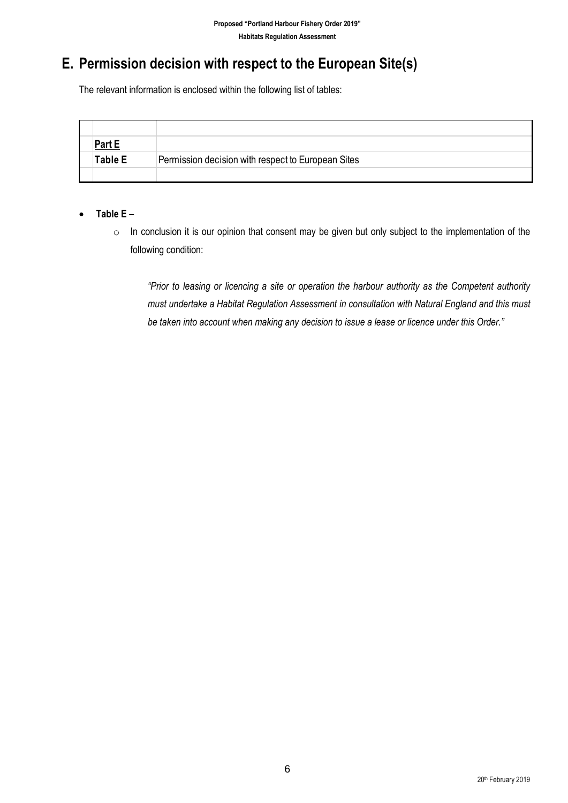### **E. Permission decision with respect to the European Site(s)**

The relevant information is enclosed within the following list of tables:

| Part E  |                                                    |
|---------|----------------------------------------------------|
| Table E | Permission decision with respect to European Sites |
|         |                                                    |

#### • **Table E –**

o In conclusion it is our opinion that consent may be given but only subject to the implementation of the following condition:

*"Prior to leasing or licencing a site or operation the harbour authority as the Competent authority must undertake a Habitat Regulation Assessment in consultation with Natural England and this must be taken into account when making any decision to issue a lease or licence under this Order."*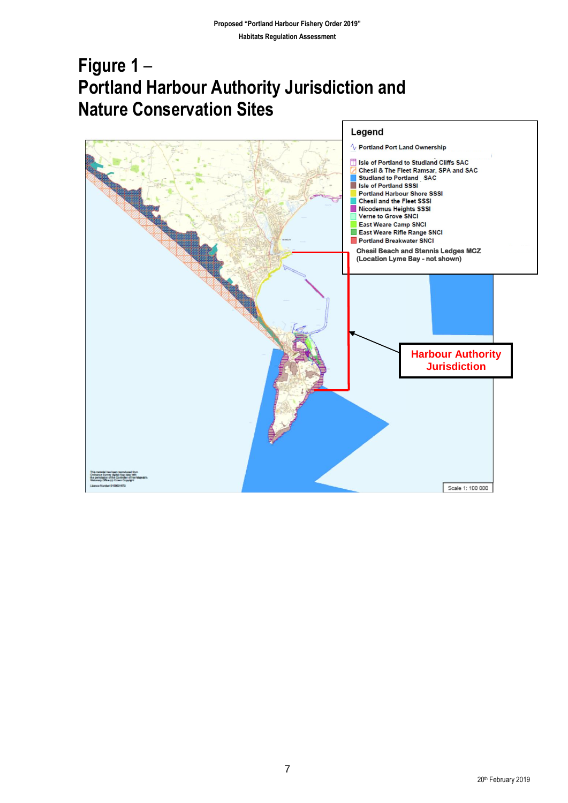## **Figure 1** – **Portland Harbour Authority Jurisdiction and Nature Conservation Sites**